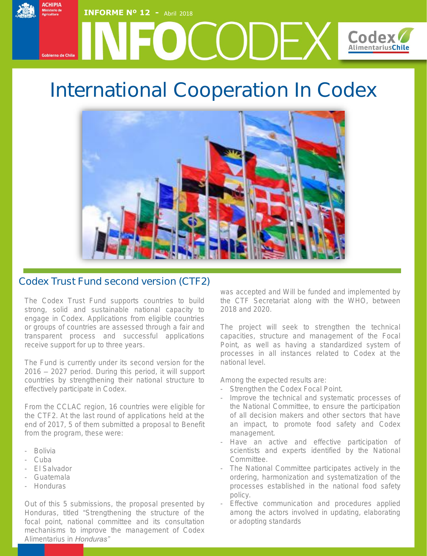### **ACHIPIA INFORME Nº 12 - Abril 2018** IFOCODEX **Codex Alimentarius Chile** .<br>Cobierno de Chile

# International Cooperation In Codex



## Codex Trust Fund second version (CTF2)

The Codex Trust Fund supports countries to build strong, solid and sustainable national capacity to engage in Codex. Applications from eligible countries or groups of countries are assessed through a fair and transparent process and successful applications receive support for up to three years.

The Fund is currently under its second version for the 2016 – 2027 period. During this period, it will support countries by strengthening their national structure to effectively participate in Codex.

From the CCLAC region, 16 countries were eligible for the CTF2. At the last round of applications held at the end of 2017, 5 of them submitted a proposal to Benefit from the program, these were:

- Bolivia
- Cuba
- El Salvador
- Guatemala
- Honduras

Out of this 5 submissions, the proposal presented by Honduras, titled "*Strengthening the structure of the focal point, national committee and its consultation mechanisms to improve the management of Codex Alimentarius in Honduras"*

was accepted and Will be funded and implemented by the CTF Secretariat along with the WHO, between 2018 and 2020.

The project will seek to strengthen the technical capacities, structure and management of the Focal Point, as well as having a standardized system of processes in all instances related to Codex at the national level.

Among the expected results are:

- Strengthen the Codex Focal Point.
- Improve the technical and systematic processes of the National Committee, to ensure the participation of all decision makers and other sectors that have an impact, to promote food safety and Codex management.
- Have an active and effective participation of scientists and experts identified by the National Committee.
- The National Committee participates actively in the ordering, harmonization and systematization of the processes established in the national food safety policy.
- Effective communication and procedures applied among the actors involved in updating, elaborating or adopting standards